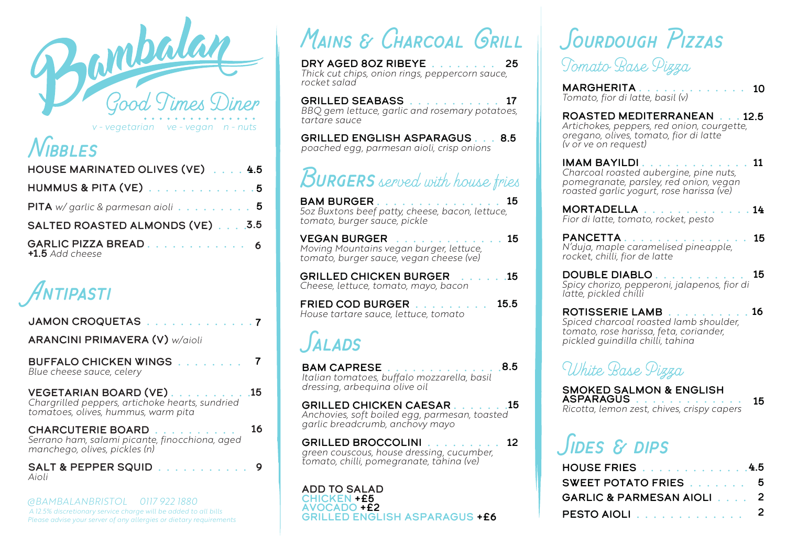

*v - vegetarian ve - vegan n - nuts*

### *Nibbles*

| HOUSE MARINATED OLIVES (VE) 4.5                                 |  |
|-----------------------------------------------------------------|--|
| HUMMUS & PITA (VE) 5                                            |  |
| <b>PITA</b> w/ garlic & parmesan aioli $\ldots \ldots \ldots$ 5 |  |
| SALTED ROASTED ALMONDS (VE) 3.5                                 |  |
| +1.5 Add cheese                                                 |  |

*Antipasti*

7 BUFFALO chicken wings . . . . . . . . *Blue cheese sauce, celery* JAMON CROQUETAS . . . . . . . . . . . . . 7 ARANCINI PRIMAVERA (V) *w/aioli* Chargrilled peppers, artichoke hearts, sundried *tomatoes, olives, hummus, warm pita* VEGETARIAN BOARD (VE)..........15

| <b>CHARCUTERIE BOARD</b>                                                        | 16 |
|---------------------------------------------------------------------------------|----|
| Serrano ham, salami picante, finocchiona, aged<br>manchego, olives, pickles (n) |    |
|                                                                                 |    |

salt & pepper squid . . . . . . . . . . . *Aioli* 9

*@BAMBALANBRISTOL 0117 922 1880 A 12.5% discretionary service charge will be added to all bills Please advise your server of any allergies or dietary requirements*

# *& Charcoal Grill Mains*

Dry aged 8oz ribeye . . . . . . . . 25 *Thick cut chips, onion rings, peppercorn sauce, rocket salad*

GRILLED SEABASS . . . . . . . . . . . 17 *BBQ gem lettuce, garlic and rosemary potatoes, tartare sauce*

GRILLED ENGLISH ASPARAGUS . . . 8.5 *poached egg, parmesan aioli, crisp onions*

## <sup>4.5</sup> BURGERS served with house fries

Bam burger . . . . . . . . . . . . . . . *5oz Buxtons beef patty, cheese, bacon, lettuce,*  15 *tomato, burger sauce, pickle*

vegan burger . . . . . . . . . . . . . *Moving Mountains vegan burger, lettuce, tomato, burger sauce, vegan cheese (ve)* VEGAN BURGER **And Contract Contract 15** 

Grilled chicken burger . . . . . . *Cheese, lettuce, tomato, mayo, bacon* 15

FRIED COD BURGER . . . . . . . . . *House tartare sauce, lettuce, tomato* 15.5

### *Salads*

BAM CAPRESE . . . . . . . . . . . . . . *Italian tomatoes, buffalo mozzarella, basil dressing, arbequina olive oil* 8.5

Grilled chicken caesar . . . . . . . *Anchovies, soft boiled egg, parmesan, toasted garlic breadcrumb, anchovy mayo* **GRILLED CHICKEN CAESAR 15** 

GRILLED BROCCOLINI . . . . . . . . . 12 *green couscous, house dressing, cucumber, tomato, chilli, pomegranate, tahina (ve)*

ADD TO SALAD chicken +£5 Avocado +£2 grilled English asparagus +£6

### *Sourdough Pizzas Tomato Base Pizza*

**MARGHERITA** . . . . . . . . . . . . . . **10**<br>Tomato, fior di latte, basil (v)

Artichokes, peppers, red onion, courgette, *oregano, olives, tomato, fior di latte (v or ve on request)* ROASTED MEDITERRANEAN . . . 12.5

Imam Bayildi . . . . . . . . . . . . . *Charcoal roasted aubergine, pine nuts,*  11 *pomegranate, parsley, red onion, vegan roasted garlic yogurt, rose harissa (ve)*

Mortadella . . . . . . . . . . . . . *Fior di latte, tomato, rocket, pesto* MORTADELLA . . . . . . . . . . . . 14

Pancetta . . . . . . . . . . . . . . . *N'duja, maple caramelised pineapple,*  15 *rocket, chilli, fior de latte*

DOUBLE DIABLO . . . . . . . . . . . *Spicy chorizo, pepperoni, jalapenos, fior di latte, pickled chilli* 15

ROTISSERIE LAMB . . . . . . . . . . *Spiced charcoal roasted lamb shoulder, tomato, rose harissa, feta, coriander, pickled guindilla chilli, tahina*  ROTISSERIE LAMB . . . . . . . . . . 16

### *White Base Pizza*

SMOKED SALMON & ENGLISH<br>ASPARAGUS . . . . . . . . . . . Ricotta, lemon zest, chives, crispy capers 15

## *Sides & dips*

| HOUSE FRIES 4.5           |  |
|---------------------------|--|
| SWEET POTATO FRIES 5      |  |
| GARLIC & PARMESAN AIOLI 2 |  |
| PESTO AIOLI 2             |  |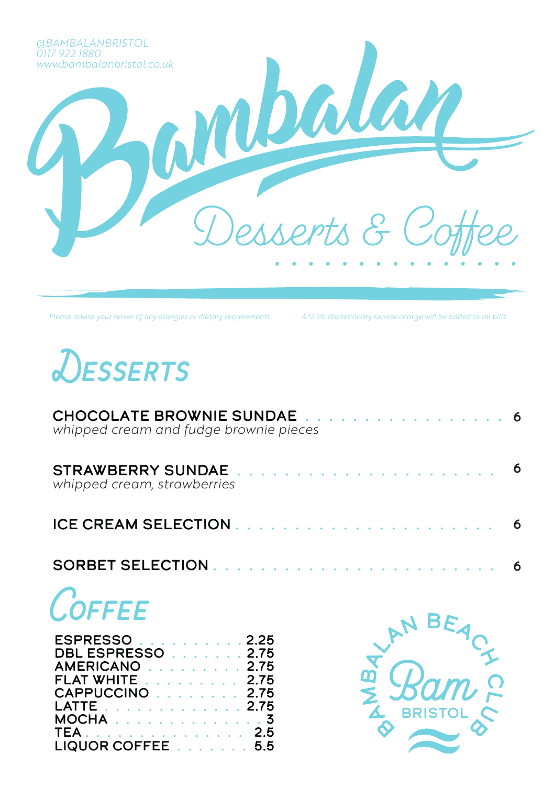

*Please advise your server of any allergies or dietary requirements A 12.5% discretionary service charge will be added to all bills*



| CHOCOLATE BROWNIE SUNDAE 6<br>whipped cream and fudge brownie pieces |  |
|----------------------------------------------------------------------|--|
| whipped cream, strawberries                                          |  |
|                                                                      |  |
|                                                                      |  |

# *Coffee*

| ESPRESSO 2.25                 |  |
|-------------------------------|--|
| <b>DBL ESPRESSO</b><br>. 2.75 |  |
| AMERICANO 2.75                |  |
| <b>FLAT WHITE</b> 2.75        |  |
| CAPPUCCINO 2.75               |  |
| LATTE 2.75                    |  |
|                               |  |
| TEA. 2.5                      |  |
| LIQUOR COFFEE 5.5             |  |

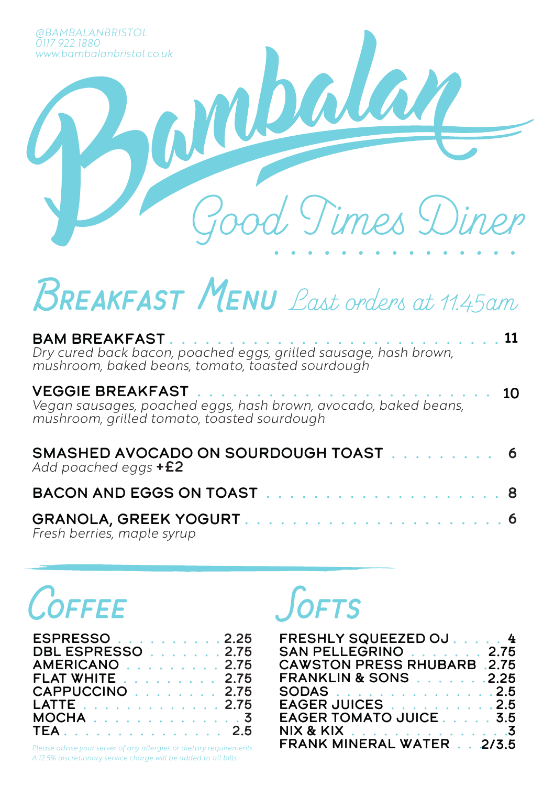

# *Breakfast Menu Last orders at 11.45am*

| Dry cured back bacon, poached eggs, grilled sausage, hash brown,<br>mushroom, baked beans, tomato, toasted sourdough |  |
|----------------------------------------------------------------------------------------------------------------------|--|
| Vegan sausages, poached eggs, hash brown, avocado, baked beans,<br>mushroom, grilled tomato, toasted sourdough       |  |
| SMASHED AVOCADO ON SOURDOUGH TOAST 6<br>Add poached eggs $+E2$                                                       |  |
|                                                                                                                      |  |
|                                                                                                                      |  |

Granola, greek yogurt . . . . . . . . . . . . . . . . . . . . . . *Fresh berries, maple syrup*

# *Coffee*

| ESPRESSO 2.25          |  |
|------------------------|--|
| DBL ESPRESSO 2.75      |  |
| AMERICANO 2.75         |  |
| <b>FLAT WHITE</b> 2.75 |  |
| CAPPUCCINO 2.75        |  |
| LATTE 2.75             |  |
|                        |  |
| TEA. 2.5               |  |
|                        |  |

*A 12.5% discretionary service charge will be added to all bills Please advise your server of any allergies or dietary requirements*

### *Softs*

| FRESHLY SQUEEZED OJ 4              |  |
|------------------------------------|--|
| SAN PELLEGRINO 2.75                |  |
| <b>CAWSTON PRESS RHUBARB .2.75</b> |  |
| <b>FRANKLIN &amp; SONS</b> 2.25    |  |
| SODAS2.5                           |  |
| EAGER JUICES 2.5                   |  |
| EAGER TOMATO JUICE 3.5             |  |
| NIX & KIX 3                        |  |
| <b>FRANK MINERAL WATER 2/3.5</b>   |  |